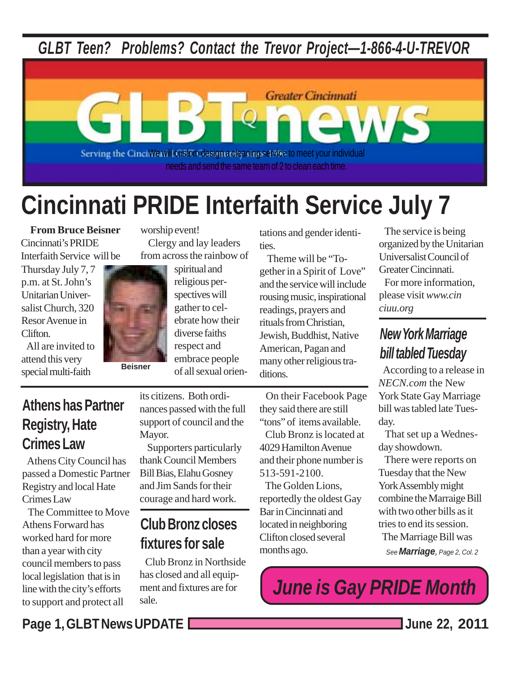*GLBT Teen? Problems? Contact the Trevor Project—1-866-4-U-TREVOR*



# **Cincinnati PRIDE Interfaith Service July 7**

**From Bruce Beisner** Cincinnati's PRIDE Interfaith Service will be

Thursday July 7, 7 p.m. at St. John's Unitarian Universalist Church, 320 Resor Avenue in Clifton.

 All are invited to attend this very special multi-faith **Beisner** 

worship event!

 Clergy and lay leaders from across the rainbow of

> spiritual and religious perspectives will gather to celebrate how their diverse faiths respect and embrace people of all sexual orien

tations and gender identities.

 Theme will be "Together in a Spirit of Love" and the service will include rousing music, inspirational readings, prayers and rituals from Christian, Jewish, Buddhist, Native American, Pagan and many other religious traditions.

 On their Facebook Page they said there are still "tons" of items available.

 Club Bronz is located at 4029 Hamilton Avenue and their phone number is 513-591-2100.

 The Golden Lions, reportedly the oldest Gay Bar in Cincinnati and located in neighboring Clifton closed several months ago.

 The service is being organized by the Unitarian Universalist Council of Greater Cincinnati.

 For more information, please visit *www.cinciuu.org*

## *New York Marriage bill tabled Tuesday*

According to a release in *NECN.com* the New York State Gay Marriage bill was tabled late Tuesday.

 That set up a Wednesday showdown.

 There were reports on Tuesday that the New York Assembly might combine the Marraige Bill with two other bills as it tries to end its session. The Marriage Bill was *See Marriage, Page 2, Col. 2*

*June is Gay PRIDE Month*

## **Athens has Partner Registry, Hate Crimes Law**

 Athens City Council has passed a Domestic Partner Registry and local Hate Crimes Law

 The Committee to Move Athens Forward has worked hard for more than a year with city council members to pass local legislation that is in line with the city's efforts to support and protect all

its citizens. Both ordinances passed with the full support of council and the Mayor.

 Supporters particularly thank Council Members Bill Bias, Elahu Gosney and Jim Sands for their courage and hard work.

## **Club Bronz closes fixtures for sale**

 Club Bronz in Northside has closed and all equipment and fixtures are for sale.

**Page 1, GLBT News UPDATE June 22, 2011**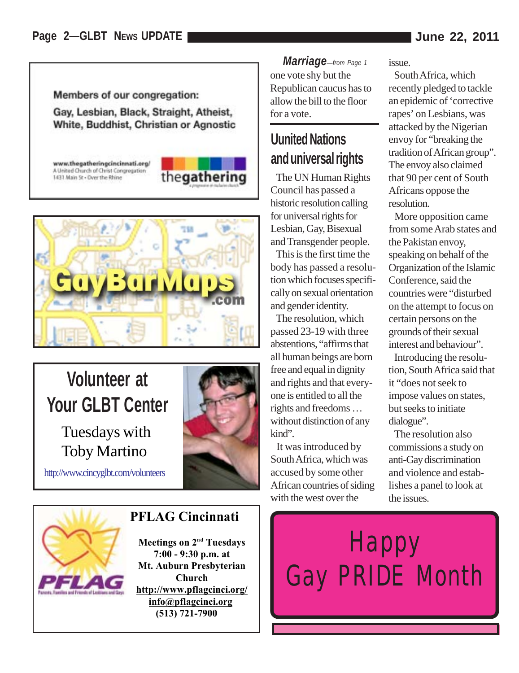Members of our congregation:

Gay, Lesbian, Black, Straight, Atheist, White, Buddhist, Christian or Agnostic

www.thegatheringcincinnati.org/ A United Church of Christ Congregation 1431 Main St - Over the Rhine





## **Volunteer at Your GLBT Center**

Tuesdays with Toby Martino

http://www.cincyglbt.com/volunteers



#### **PFLAG Cincinnati**

**Meetings on 2<sup>nd</sup> Tuesdays 7:00 - 9:30 p.m. at Mt. Auburn Presbyterian Church http://www.pflagcinci.org/ info@pflagcinci.org (513) 721-7900**

*Marriage—from Page 1* one vote shy but the Republican caucus has to allow the bill to the floor for a vote.

### **Uunited Nations and universal rights**

 The UN Human Rights Council has passed a historic resolution calling for universal rights for Lesbian, Gay, Bisexual and Transgender people.

 This is the first time the body has passed a resolution which focuses specifically on sexual orientation and gender identity.

 The resolution, which passed 23-19 with three abstentions, "affirms that all human beings are born free and equal in dignity and rights and that everyone is entitled to all the rights and freedoms … without distinction of any kind".

 It was introduced by South Africa, which was accused by some other African countries of siding with the west over the

issue.

 South Africa, which recently pledged to tackle an epidemic of 'corrective rapes' on Lesbians, was attacked by the Nigerian envoy for "breaking the tradition of African group". The envoy also claimed that 90 per cent of South Africans oppose the resolution.

 More opposition came from some Arab states and the Pakistan envoy, speaking on behalf of the Organization of the Islamic Conference, said the countries were "disturbed on the attempt to focus on certain persons on the grounds of their sexual interest and behaviour".

 Introducing the resolution, South Africa said that it "does not seek to impose values on states, but seeks to initiate dialogue".

 The resolution also commissions a study on anti-Gay discrimination and violence and establishes a panel to look at the issues.

**Happy** Gay PRIDE Month